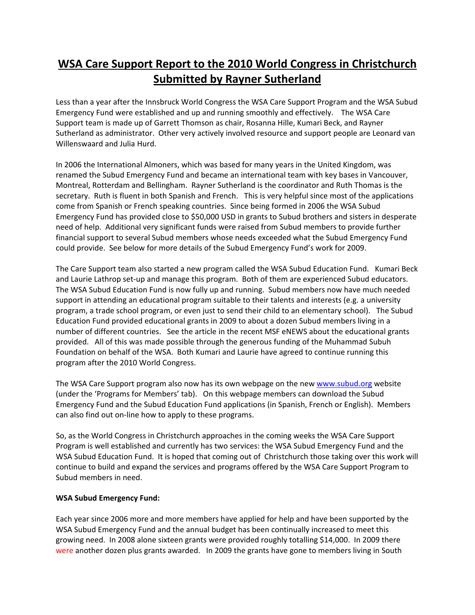## **WSA Care Support Report to the 2010 World Congress in Christchurch Submitted by Rayner Sutherland**

Less than a year after the Innsbruck World Congress the WSA Care Support Program and the WSA Subud Emergency Fund were established and up and running smoothly and effectively. The WSA Care Support team is made up of Garrett Thomson as chair, Rosanna Hille, Kumari Beck, and Rayner Sutherland as administrator. Other very actively involved resource and support people are Leonard van Willenswaard and Julia Hurd.

In 2006 the International Almoners, which was based for many years in the United Kingdom, was renamed the Subud Emergency Fund and became an international team with key bases in Vancouver, Montreal, Rotterdam and Bellingham. Rayner Sutherland is the coordinator and Ruth Thomas is the secretary. Ruth is fluent in both Spanish and French. This is very helpful since most of the applications come from Spanish or French speaking countries. Since being formed in 2006 the WSA Subud Emergency Fund has provided close to \$50,000 USD in grants to Subud brothers and sisters in desperate need of help. Additional very significant funds were raised from Subud members to provide further financial support to several Subud members whose needs exceeded what the Subud Emergency Fund could provide. See below for more details of the Subud Emergency Fund's work for 2009.

The Care Support team also started a new program called the WSA Subud Education Fund. Kumari Beck and Laurie Lathrop set-up and manage this program. Both of them are experienced Subud educators. The WSA Subud Education Fund is now fully up and running. Subud members now have much needed support in attending an educational program suitable to their talents and interests (e.g. a university program, a trade school program, or even just to send their child to an elementary school). The Subud Education Fund provided educational grants in 2009 to about a dozen Subud members living in a number of different countries. See the article in the recent MSF eNEWS about the educational grants provided. All of this was made possible through the generous funding of the Muhammad Subuh Foundation on behalf of the WSA. Both Kumari and Laurie have agreed to continue running this program after the 2010 World Congress.

The WSA Care Support program also now has its own webpage on the new [www.subud.org](http://www.subud.org/) website (under the 'Programs for Members' tab). On this webpage members can download the Subud Emergency Fund and the Subud Education Fund applications (in Spanish, French or English). Members can also find out on‐line how to apply to these programs.

So, as the World Congress in Christchurch approaches in the coming weeks the WSA Care Support Program is well established and currently has two services: the WSA Subud Emergency Fund and the WSA Subud Education Fund. It is hoped that coming out of Christchurch those taking over this work will continue to build and expand the services and programs offered by the WSA Care Support Program to Subud members in need.

## **WSA Subud Emergency Fund:**

Each year since 2006 more and more members have applied for help and have been supported by the WSA Subud Emergency Fund and the annual budget has been continually increased to meet this growing need. In 2008 alone sixteen grants were provided roughly totalling \$14,000. In 2009 there were another dozen plus grants awarded. In 2009 the grants have gone to members living in South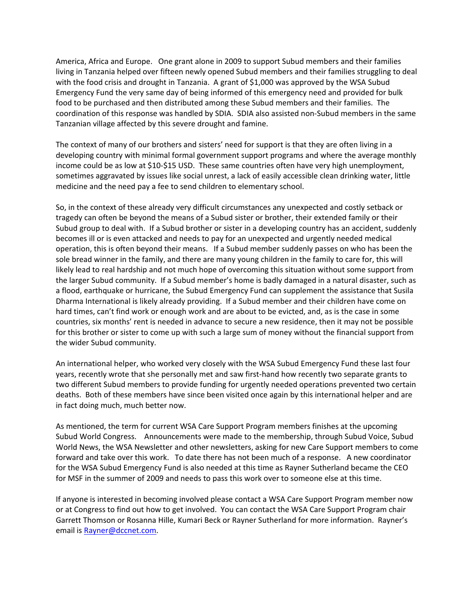America, Africa and Europe. One grant alone in 2009 to support Subud members and their families living in Tanzania helped over fifteen newly opened Subud members and their families struggling to deal with the food crisis and drought in Tanzania. A grant of \$1,000 was approved by the WSA Subud Emergency Fund the very same day of being informed of this emergency need and provided for bulk food to be purchased and then distributed among these Subud members and their families. The coordination of this response was handled by SDIA. SDIA also assisted non‐Subud members in the same Tanzanian village affected by this severe drought and famine.

The context of many of our brothers and sisters' need for support is that they are often living in a developing country with minimal formal government support programs and where the average monthly income could be as low at \$10‐\$15 USD. These same countries often have very high unemployment, sometimes aggravated by issues like social unrest, a lack of easily accessible clean drinking water, little medicine and the need pay a fee to send children to elementary school.

So, in the context of these already very difficult circumstances any unexpected and costly setback or tragedy can often be beyond the means of a Subud sister or brother, their extended family or their Subud group to deal with. If a Subud brother or sister in a developing country has an accident, suddenly becomes ill or is even attacked and needs to pay for an unexpected and urgently needed medical operation, this is often beyond their means. If a Subud member suddenly passes on who has been the sole bread winner in the family, and there are many young children in the family to care for, this will likely lead to real hardship and not much hope of overcoming this situation without some support from the larger Subud community. If a Subud member's home is badly damaged in a natural disaster, such as a flood, earthquake or hurricane, the Subud Emergency Fund can supplement the assistance that Susila Dharma International is likely already providing. If a Subud member and their children have come on hard times, can't find work or enough work and are about to be evicted, and, as is the case in some countries, six months' rent is needed in advance to secure a new residence, then it may not be possible for this brother or sister to come up with such a large sum of money without the financial support from the wider Subud community.

An international helper, who worked very closely with the WSA Subud Emergency Fund these last four years, recently wrote that she personally met and saw first‐hand how recently two separate grants to two different Subud members to provide funding for urgently needed operations prevented two certain deaths. Both of these members have since been visited once again by this international helper and are in fact doing much, much better now.

As mentioned, the term for current WSA Care Support Program members finishes at the upcoming Subud World Congress. Announcements were made to the membership, through Subud Voice, Subud World News, the WSA Newsletter and other newsletters, asking for new Care Support members to come forward and take over this work. To date there has not been much of a response. A new coordinator for the WSA Subud Emergency Fund is also needed at this time as Rayner Sutherland became the CEO for MSF in the summer of 2009 and needs to pass this work over to someone else at this time.

If anyone is interested in becoming involved please contact a WSA Care Support Program member now or at Congress to find out how to get involved. You can contact the WSA Care Support Program chair Garrett Thomson or Rosanna Hille, Kumari Beck or Rayner Sutherland for more information. Rayner's email is [Rayner@dccnet.com.](mailto:Rayner@dccnet.com)